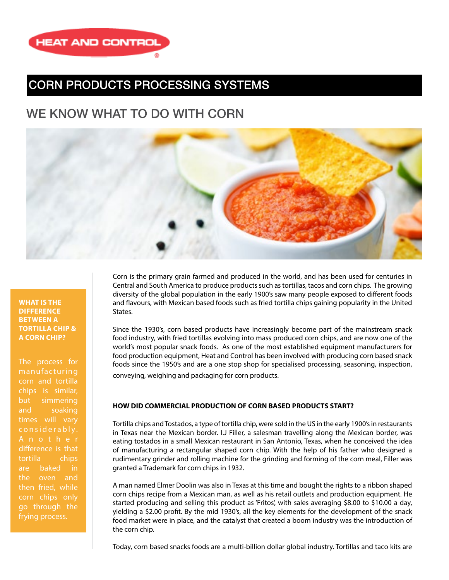

### CORN PRODUCTS PROCESSING SYSTEMS

## WE KNOW WHAT TO DO WITH CORN



#### **WHAT IS THE DIFFERENCE BETWEEN A TORTILLA CHIP & A CORN CHIP?**

The process for manufacturing corn and tortilla chips is similar, but simmering and soaking times will vary considerably. difference is that tortilla chips are baked in the oven and then fried, while corn chips only go through the frying process.

Corn is the primary grain farmed and produced in the world, and has been used for centuries in Central and South America to produce products such as tortillas, tacos and corn chips. The growing diversity of the global population in the early 1900's saw many people exposed to different foods and flavours, with Mexican based foods such as fried tortilla chips gaining popularity in the United States.

Since the 1930's, corn based products have increasingly become part of the mainstream snack food industry, with fried tortillas evolving into mass produced corn chips, and are now one of the world's most popular snack foods. As one of the most established equipment manufacturers for food production equipment, Heat and Control has been involved with producing corn based snack foods since the 1950's and are a one stop shop for specialised processing, seasoning, inspection, conveying, weighing and packaging for corn products.

#### **HOW DID COMMERCIAL PRODUCTION OF CORN BASED PRODUCTS START?**

Tortilla chips and Tostados, a type of tortilla chip, were sold in the US in the early 1900's in restaurants in Texas near the Mexican border. I.J Filler, a salesman travelling along the Mexican border, was eating tostados in a small Mexican restaurant in San Antonio, Texas, when he conceived the idea of manufacturing a rectangular shaped corn chip. With the help of his father who designed a rudimentary grinder and rolling machine for the grinding and forming of the corn meal, Filler was granted a Trademark for corn chips in 1932.

A man named Elmer Doolin was also in Texas at this time and bought the rights to a ribbon shaped corn chips recipe from a Mexican man, as well as his retail outlets and production equipment. He started producing and selling this product as 'Fritos', with sales averaging \$8.00 to \$10.00 a day, yielding a \$2.00 profit. By the mid 1930's, all the key elements for the development of the snack food market were in place, and the catalyst that created a boom industry was the introduction of the corn chip.

Today, corn based snacks foods are a multi-billion dollar global industry. Tortillas and taco kits are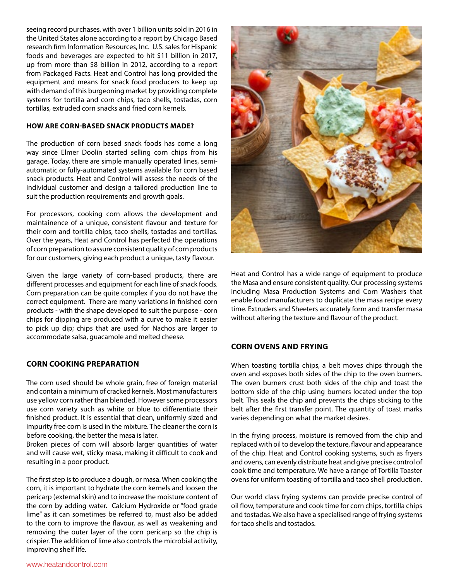seeing record purchases, with over 1 billion units sold in 2016 in the United States alone according to a report by Chicago Based research firm Information Resources, Inc. U.S. sales for Hispanic foods and beverages are expected to hit \$11 billion in 2017, up from more than \$8 billion in 2012, according to a report from Packaged Facts. Heat and Control has long provided the equipment and means for snack food producers to keep up with demand of this burgeoning market by providing complete systems for tortilla and corn chips, taco shells, tostadas, corn tortillas, extruded corn snacks and fried corn kernels.

#### **HOW ARE CORN-BASED SNACK PRODUCTS MADE?**

The production of corn based snack foods has come a long way since Elmer Doolin started selling corn chips from his garage. Today, there are simple manually operated lines, semiautomatic or fully-automated systems available for corn based snack products. Heat and Control will assess the needs of the individual customer and design a tailored production line to suit the production requirements and growth goals.

For processors, cooking corn allows the development and maintainence of a unique, consistent flavour and texture for their corn and tortilla chips, taco shells, tostadas and tortillas. Over the years, Heat and Control has perfected the operations of corn preparation to assure consistent quality of corn products for our customers, giving each product a unique, tasty flavour.

Given the large variety of corn-based products, there are different processes and equipment for each line of snack foods. Corn preparation can be quite complex if you do not have the correct equipment. There are many variations in finished corn products - with the shape developed to suit the purpose - corn chips for dipping are produced with a curve to make it easier to pick up dip; chips that are used for Nachos are larger to accommodate salsa, guacamole and melted cheese.

#### **CORN COOKING PREPARATION**

The corn used should be whole grain, free of foreign material and contain a minimum of cracked kernels. Most manufacturers use yellow corn rather than blended. However some processors use corn variety such as white or blue to differentiate their finished product. It is essential that clean, uniformly sized and impurity free corn is used in the mixture. The cleaner the corn is before cooking, the better the masa is later.

Broken pieces of corn will absorb larger quantities of water and will cause wet, sticky masa, making it difficult to cook and resulting in a poor product.

The first step is to produce a dough, or masa. When cooking the corn, it is important to hydrate the corn kernels and loosen the pericarp (external skin) and to increase the moisture content of the corn by adding water. Calcium Hydroxide or "food grade lime" as it can sometimes be referred to, must also be added to the corn to improve the flavour, as well as weakening and removing the outer layer of the corn pericarp so the chip is crispier. The addition of lime also controls the microbial activity, improving shelf life.



Heat and Control has a wide range of equipment to produce the Masa and ensure consistent quality. Our processing systems including Masa Production Systems and Corn Washers that enable food manufacturers to duplicate the masa recipe every time. Extruders and Sheeters accurately form and transfer masa without altering the texture and flavour of the product.

#### **CORN OVENS AND FRYING**

When toasting tortilla chips, a belt moves chips through the oven and exposes both sides of the chip to the oven burners. The oven burners crust both sides of the chip and toast the bottom side of the chip using burners located under the top belt. This seals the chip and prevents the chips sticking to the belt after the first transfer point. The quantity of toast marks varies depending on what the market desires.

In the frying process, moisture is removed from the chip and replaced with oil to develop the texture, flavour and appearance of the chip. Heat and Control cooking systems, such as fryers and ovens, can evenly distribute heat and give precise control of cook time and temperature. We have a range of Tortilla Toaster ovens for uniform toasting of tortilla and taco shell production.

Our world class frying systems can provide precise control of oil flow, temperature and cook time for corn chips, tortilla chips and tostadas. We also have a specialised range of frying systems for taco shells and tostados.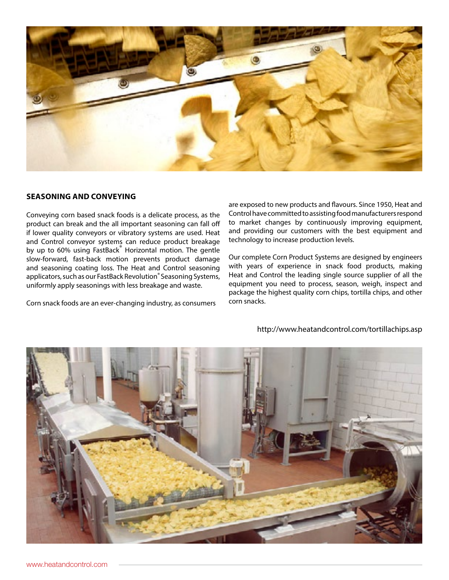

#### **SEASONING AND CONVEYING**

Conveying corn based snack foods is a delicate process, as the product can break and the all important seasoning can fall off if lower quality conveyors or vibratory systems are used. Heat and Control conveyor systems can reduce product breakage by up to 60% using FastBack Horizontal motion. The gentle slow-forward, fast-back motion prevents product damage and seasoning coating loss. The Heat and Control seasoning applicators, such as our FastBack Revolution® Seasoning Systems, uniformly apply seasonings with less breakage and waste.

Corn snack foods are an ever-changing industry, as consumers

are exposed to new products and flavours. Since 1950, Heat and Control have committed to assisting food manufacturers respond to market changes by continuously improving equipment, and providing our customers with the best equipment and technology to increase production levels.

Our complete Corn Product Systems are designed by engineers with years of experience in snack food products, making Heat and Control the leading single source supplier of all the equipment you need to process, season, weigh, inspect and package the highest quality corn chips, tortilla chips, and other corn snacks.



http://www.heatandcontrol.com/tortillachips.asp